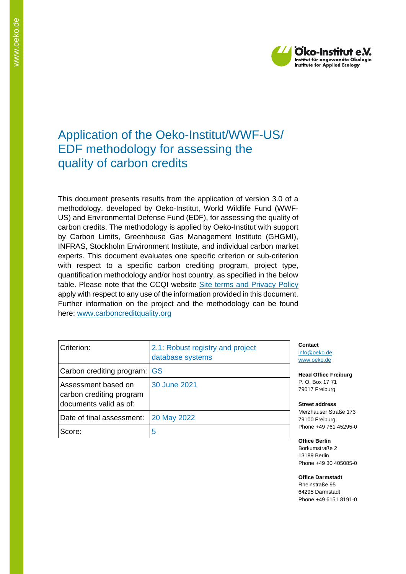

# Application of the Oeko-Institut/WWF-US/ EDF methodology for assessing the quality of carbon credits

This document presents results from the application of version 3.0 of a methodology, developed by Oeko-Institut, World Wildlife Fund (WWF-US) and Environmental Defense Fund (EDF), for assessing the quality of carbon credits. The methodology is applied by Oeko-Institut with support by Carbon Limits, Greenhouse Gas Management Institute (GHGMI), INFRAS, Stockholm Environment Institute, and individual carbon market experts. This document evaluates one specific criterion or sub-criterion with respect to a specific carbon crediting program, project type, quantification methodology and/or host country, as specified in the below table. Please note that the CCQI website [Site terms and Privacy Policy](https://carboncreditquality.org/terms.html) apply with respect to any use of the information provided in this document. Further information on the project and the methodology can be found here: [www.carboncreditquality.org](http://www.carboncreditquality.org/)

| Criterion:                                                                | 2.1: Robust registry and project<br>database systems | Contact<br>info@oek<br>www.oek           |
|---------------------------------------------------------------------------|------------------------------------------------------|------------------------------------------|
| Carbon crediting program: GS                                              |                                                      | <b>Head Off</b>                          |
| Assessment based on<br>carbon crediting program<br>documents valid as of: | 30 June 2021                                         | P. O. Bo<br>79017 Fr<br><b>Street ac</b> |
| Date of final assessment:                                                 | 20 May 2022                                          | Merzhaus<br>79100 Fr                     |
| Score:                                                                    | 5                                                    | Phone $+4$                               |

[info@oeko.de](mailto:info@oeko.de) o.de

**Head Freiburg** x 17 71 eiburg

**Street address** ser Straße 173 eiburg<sup>.</sup> 49 761 45295-0

**Office Berlin** Borkumstraße 2 13189 Berlin Phone +49 30 405085-0

**Office Darmstadt** Rheinstraße 95 64295 Darmstadt Phone +49 6151 8191-0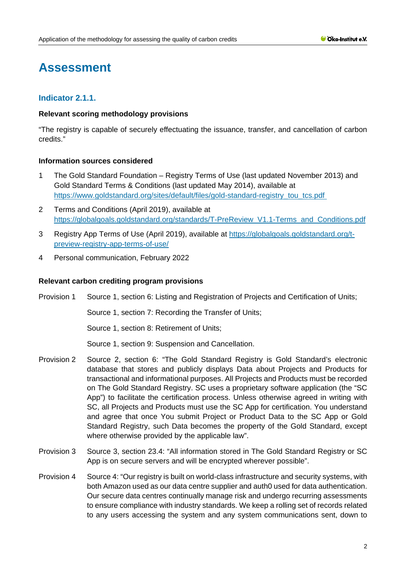# **Assessment**

# **Indicator 2.1.1.**

# **Relevant scoring methodology provisions**

"The registry is capable of securely effectuating the issuance, transfer, and cancellation of carbon credits."

# **Information sources considered**

- 1 The Gold Standard Foundation Registry Terms of Use (last updated November 2013) and Gold Standard Terms & Conditions (last updated May 2014), available at [https://www.goldstandard.org/sites/default/files/gold-standard-registry\\_tou\\_tcs.pdf](https://www.goldstandard.org/sites/default/files/gold-standard-registry_tou_tcs.pdf)
- 2 Terms and Conditions (April 2019), available at [https://globalgoals.goldstandard.org/standards/T-PreReview\\_V1.1-Terms\\_and\\_Conditions.pdf](https://globalgoals.goldstandard.org/standards/T-PreReview_V1.1-Terms_and_Conditions.pdf)
- 3 Registry App Terms of Use (April 2019), available at [https://globalgoals.goldstandard.org/t](https://globalgoals.goldstandard.org/t-preview-registry-app-terms-of-use/)[preview-registry-app-terms-of-use/](https://globalgoals.goldstandard.org/t-preview-registry-app-terms-of-use/)
- 4 Personal communication, February 2022

# **Relevant carbon crediting program provisions**

Provision 1 Source 1, section 6: Listing and Registration of Projects and Certification of Units;

Source 1, section 7: Recording the Transfer of Units;

Source 1, section 8: Retirement of Units;

Source 1, section 9: Suspension and Cancellation.

- Provision 2 Source 2, section 6: "The Gold Standard Registry is Gold Standard's electronic database that stores and publicly displays Data about Projects and Products for transactional and informational purposes. All Projects and Products must be recorded on The Gold Standard Registry. SC uses a proprietary software application (the "SC App") to facilitate the certification process. Unless otherwise agreed in writing with SC, all Projects and Products must use the SC App for certification. You understand and agree that once You submit Project or Product Data to the SC App or Gold Standard Registry, such Data becomes the property of the Gold Standard, except where otherwise provided by the applicable law".
- Provision 3 Source 3, section 23.4: "All information stored in The Gold Standard Registry or SC App is on secure servers and will be encrypted wherever possible".
- Provision 4 Source 4: "Our registry is built on world-class infrastructure and security systems, with both Amazon used as our data centre supplier and auth0 used for data authentication. Our secure data centres continually manage risk and undergo recurring assessments to ensure compliance with industry standards. We keep a rolling set of records related to any users accessing the system and any system communications sent, down to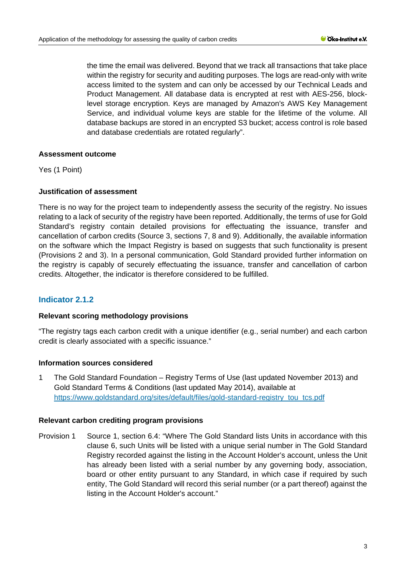the time the email was delivered. Beyond that we track all transactions that take place within the registry for security and auditing purposes. The logs are read-only with write access limited to the system and can only be accessed by our Technical Leads and Product Management. All database data is encrypted at rest with AES-256, blocklevel storage encryption. Keys are managed by Amazon's AWS Key Management Service, and individual volume keys are stable for the lifetime of the volume. All database backups are stored in an encrypted S3 bucket; access control is role based and database credentials are rotated regularly".

# **Assessment outcome**

Yes (1 Point)

# **Justification of assessment**

There is no way for the project team to independently assess the security of the registry. No issues relating to a lack of security of the registry have been reported. Additionally, the terms of use for Gold Standard's registry contain detailed provisions for effectuating the issuance, transfer and cancellation of carbon credits (Source 3, sections 7, 8 and 9). Additionally, the available information on the software which the Impact Registry is based on suggests that such functionality is present (Provisions 2 and 3). In a personal communication, Gold Standard provided further information on the registry is capably of securely effectuating the issuance, transfer and cancellation of carbon credits. Altogether, the indicator is therefore considered to be fulfilled.

# **Indicator 2.1.2**

#### **Relevant scoring methodology provisions**

"The registry tags each carbon credit with a unique identifier (e.g., serial number) and each carbon credit is clearly associated with a specific issuance."

#### **Information sources considered**

1 The Gold Standard Foundation – Registry Terms of Use (last updated November 2013) and Gold Standard Terms & Conditions (last updated May 2014), available at [https://www.goldstandard.org/sites/default/files/gold-standard-registry\\_tou\\_tcs.pdf](https://www.goldstandard.org/sites/default/files/gold-standard-registry_tou_tcs.pdf)

# **Relevant carbon crediting program provisions**

Provision 1 Source 1, section 6.4: "Where The Gold Standard lists Units in accordance with this clause 6, such Units will be listed with a unique serial number in The Gold Standard Registry recorded against the listing in the Account Holder's account, unless the Unit has already been listed with a serial number by any governing body, association, board or other entity pursuant to any Standard, in which case if required by such entity, The Gold Standard will record this serial number (or a part thereof) against the listing in the Account Holder's account."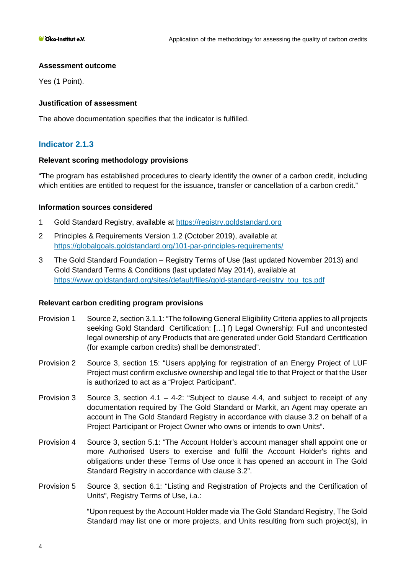# **Assessment outcome**

Yes (1 Point).

# **Justification of assessment**

The above documentation specifies that the indicator is fulfilled.

# **Indicator 2.1.3**

# **Relevant scoring methodology provisions**

"The program has established procedures to clearly identify the owner of a carbon credit, including which entities are entitled to request for the issuance, transfer or cancellation of a carbon credit."

# **Information sources considered**

- 1 Gold Standard Registry, available at [https://registry.goldstandard.org](https://registry.goldstandard.org/)
- 2 Principles & Requirements Version 1.2 (October 2019), available at <https://globalgoals.goldstandard.org/101-par-principles-requirements/>
- 3 The Gold Standard Foundation Registry Terms of Use (last updated November 2013) and Gold Standard Terms & Conditions (last updated May 2014), available at [https://www.goldstandard.org/sites/default/files/gold-standard-registry\\_tou\\_tcs.pdf](https://www.goldstandard.org/sites/default/files/gold-standard-registry_tou_tcs.pdf)

# **Relevant carbon crediting program provisions**

- Provision 1 Source 2, section 3.1.1: "The following General Eligibility Criteria applies to all projects seeking Gold Standard Certification: […] f) Legal Ownership: Full and uncontested legal ownership of any Products that are generated under Gold Standard Certification (for example carbon credits) shall be demonstrated".
- Provision 2 Source 3, section 15: "Users applying for registration of an Energy Project of LUF Project must confirm exclusive ownership and legal title to that Project or that the User is authorized to act as a "Project Participant".
- Provision 3 Source 3, section  $4.1 4.2$ : "Subject to clause  $4.4$ , and subject to receipt of any documentation required by The Gold Standard or Markit, an Agent may operate an account in The Gold Standard Registry in accordance with clause 3.2 on behalf of a Project Participant or Project Owner who owns or intends to own Units".
- Provision 4 Source 3, section 5.1: "The Account Holder's account manager shall appoint one or more Authorised Users to exercise and fulfil the Account Holder's rights and obligations under these Terms of Use once it has opened an account in The Gold Standard Registry in accordance with clause 3.2".
- Provision 5 Source 3, section 6.1: "Listing and Registration of Projects and the Certification of Units", Registry Terms of Use, i.a.:

"Upon request by the Account Holder made via The Gold Standard Registry, The Gold Standard may list one or more projects, and Units resulting from such project(s), in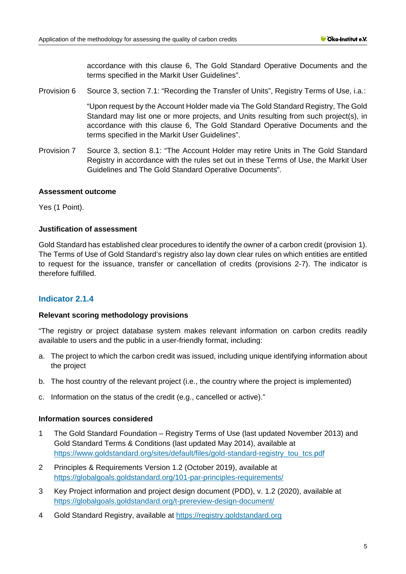accordance with this clause 6, The Gold Standard Operative Documents and the terms specified in the Markit User Guidelines".

Provision 6 Source 3, section 7.1: "Recording the Transfer of Units", Registry Terms of Use, i.a.:

"Upon request by the Account Holder made via The Gold Standard Registry, The Gold Standard may list one or more projects, and Units resulting from such project(s), in accordance with this clause 6, The Gold Standard Operative Documents and the terms specified in the Markit User Guidelines".

Provision 7 Source 3, section 8.1: "The Account Holder may retire Units in The Gold Standard Registry in accordance with the rules set out in these Terms of Use, the Markit User Guidelines and The Gold Standard Operative Documents".

# **Assessment outcome**

Yes (1 Point).

# **Justification of assessment**

Gold Standard has established clear procedures to identify the owner of a carbon credit (provision 1). The Terms of Use of Gold Standard's registry also lay down clear rules on which entities are entitled to request for the issuance, transfer or cancellation of credits (provisions 2-7). The indicator is therefore fulfilled.

# **Indicator 2.1.4**

#### **Relevant scoring methodology provisions**

"The registry or project database system makes relevant information on carbon credits readily available to users and the public in a user-friendly format, including:

- a. The project to which the carbon credit was issued, including unique identifying information about the project
- b. The host country of the relevant project (i.e., the country where the project is implemented)
- c. Information on the status of the credit (e.g., cancelled or active)."

# **Information sources considered**

- 1 The Gold Standard Foundation Registry Terms of Use (last updated November 2013) and Gold Standard Terms & Conditions (last updated May 2014), available at [https://www.goldstandard.org/sites/default/files/gold-standard-registry\\_tou\\_tcs.pdf](https://www.goldstandard.org/sites/default/files/gold-standard-registry_tou_tcs.pdf)
- 2 Principles & Requirements Version 1.2 (October 2019), available at <https://globalgoals.goldstandard.org/101-par-principles-requirements/>
- 3 Key Project information and project design document (PDD), v. 1.2 (2020), available at <https://globalgoals.goldstandard.org/t-prereview-design-document/>
- 4 Gold Standard Registry, available at [https://registry.goldstandard.org](https://registry.goldstandard.org/)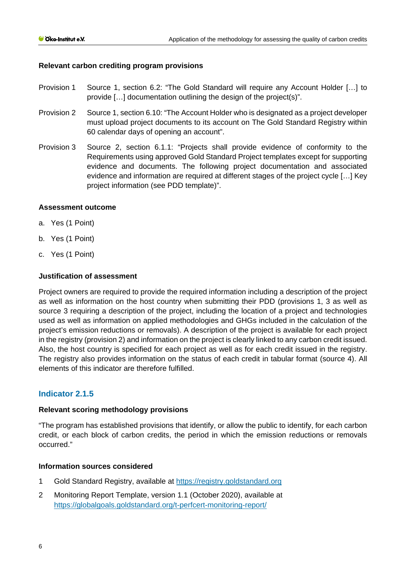# **Relevant carbon crediting program provisions**

- Provision 1 Source 1, section 6.2: "The Gold Standard will require any Account Holder […] to provide […] documentation outlining the design of the project(s)".
- Provision 2 Source 1, section 6.10: "The Account Holder who is designated as a project developer must upload project documents to its account on The Gold Standard Registry within 60 calendar days of opening an account".
- Provision 3 Source 2, section 6.1.1: "Projects shall provide evidence of conformity to the Requirements using approved Gold Standard Project templates except for supporting evidence and documents. The following project documentation and associated evidence and information are required at different stages of the project cycle […] Key project information (see PDD template)".

# **Assessment outcome**

- a. Yes (1 Point)
- b. Yes (1 Point)
- c. Yes (1 Point)

# **Justification of assessment**

Project owners are required to provide the required information including a description of the project as well as information on the host country when submitting their PDD (provisions 1, 3 as well as source 3 requiring a description of the project, including the location of a project and technologies used as well as information on applied methodologies and GHGs included in the calculation of the project's emission reductions or removals). A description of the project is available for each project in the registry (provision 2) and information on the project is clearly linked to any carbon credit issued. Also, the host country is specified for each project as well as for each credit issued in the registry. The registry also provides information on the status of each credit in tabular format (source 4). All elements of this indicator are therefore fulfilled.

# **Indicator 2.1.5**

#### **Relevant scoring methodology provisions**

"The program has established provisions that identify, or allow the public to identify, for each carbon credit, or each block of carbon credits, the period in which the emission reductions or removals occurred."

#### **Information sources considered**

- 1 Gold Standard Registry, available at [https://registry.goldstandard.org](https://registry.goldstandard.org/)
- 2 Monitoring Report Template, version 1.1 (October 2020), available at <https://globalgoals.goldstandard.org/t-perfcert-monitoring-report/>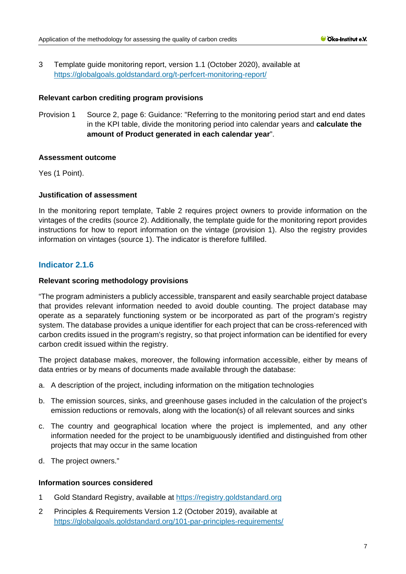3 Template guide monitoring report, version 1.1 (October 2020), available at <https://globalgoals.goldstandard.org/t-perfcert-monitoring-report/>

#### **Relevant carbon crediting program provisions**

Provision 1 Source 2, page 6: Guidance: "Referring to the monitoring period start and end dates in the KPI table, divide the monitoring period into calendar years and **calculate the amount of Product generated in each calendar year**".

# **Assessment outcome**

Yes (1 Point).

# **Justification of assessment**

In the monitoring report template, Table 2 requires project owners to provide information on the vintages of the credits (source 2). Additionally, the template guide for the monitoring report provides instructions for how to report information on the vintage (provision 1). Also the registry provides information on vintages (source 1). The indicator is therefore fulfilled.

# **Indicator 2.1.6**

# **Relevant scoring methodology provisions**

"The program administers a publicly accessible, transparent and easily searchable project database that provides relevant information needed to avoid double counting. The project database may operate as a separately functioning system or be incorporated as part of the program's registry system. The database provides a unique identifier for each project that can be cross-referenced with carbon credits issued in the program's registry, so that project information can be identified for every carbon credit issued within the registry.

The project database makes, moreover, the following information accessible, either by means of data entries or by means of documents made available through the database:

- a. A description of the project, including information on the mitigation technologies
- b. The emission sources, sinks, and greenhouse gases included in the calculation of the project's emission reductions or removals, along with the location(s) of all relevant sources and sinks
- c. The country and geographical location where the project is implemented, and any other information needed for the project to be unambiguously identified and distinguished from other projects that may occur in the same location
- d. The project owners."

#### **Information sources considered**

- 1 Gold Standard Registry, available at [https://registry.goldstandard.org](https://registry.goldstandard.org/)
- 2 Principles & Requirements Version 1.2 (October 2019), available at <https://globalgoals.goldstandard.org/101-par-principles-requirements/>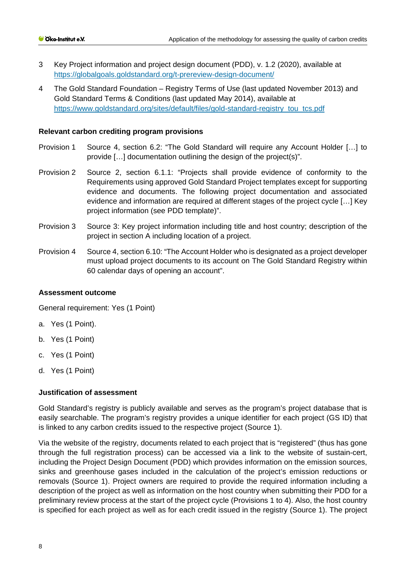- 3 Key Project information and project design document (PDD), v. 1.2 (2020), available at <https://globalgoals.goldstandard.org/t-prereview-design-document/>
- 4 The Gold Standard Foundation Registry Terms of Use (last updated November 2013) and Gold Standard Terms & Conditions (last updated May 2014), available at [https://www.goldstandard.org/sites/default/files/gold-standard-registry\\_tou\\_tcs.pdf](https://www.goldstandard.org/sites/default/files/gold-standard-registry_tou_tcs.pdf)

### **Relevant carbon crediting program provisions**

- Provision 1 Source 4, section 6.2: "The Gold Standard will require any Account Holder […] to provide […] documentation outlining the design of the project(s)".
- Provision 2 Source 2, section 6.1.1: "Projects shall provide evidence of conformity to the Requirements using approved Gold Standard Project templates except for supporting evidence and documents. The following project documentation and associated evidence and information are required at different stages of the project cycle […] Key project information (see PDD template)".
- Provision 3 Source 3: Key project information including title and host country; description of the project in section A including location of a project.
- Provision 4 Source 4, section 6.10: "The Account Holder who is designated as a project developer must upload project documents to its account on The Gold Standard Registry within 60 calendar days of opening an account".

#### **Assessment outcome**

General requirement: Yes (1 Point)

- a. Yes (1 Point).
- b. Yes (1 Point)
- c. Yes (1 Point)
- d. Yes (1 Point)

#### **Justification of assessment**

Gold Standard's registry is publicly available and serves as the program's project database that is easily searchable. The program's registry provides a unique identifier for each project (GS ID) that is linked to any carbon credits issued to the respective project (Source 1).

Via the website of the registry, documents related to each project that is "registered" (thus has gone through the full registration process) can be accessed via a link to the website of sustain-cert, including the Project Design Document (PDD) which provides information on the emission sources, sinks and greenhouse gases included in the calculation of the project's emission reductions or removals (Source 1). Project owners are required to provide the required information including a description of the project as well as information on the host country when submitting their PDD for a preliminary review process at the start of the project cycle (Provisions 1 to 4). Also, the host country is specified for each project as well as for each credit issued in the registry (Source 1). The project